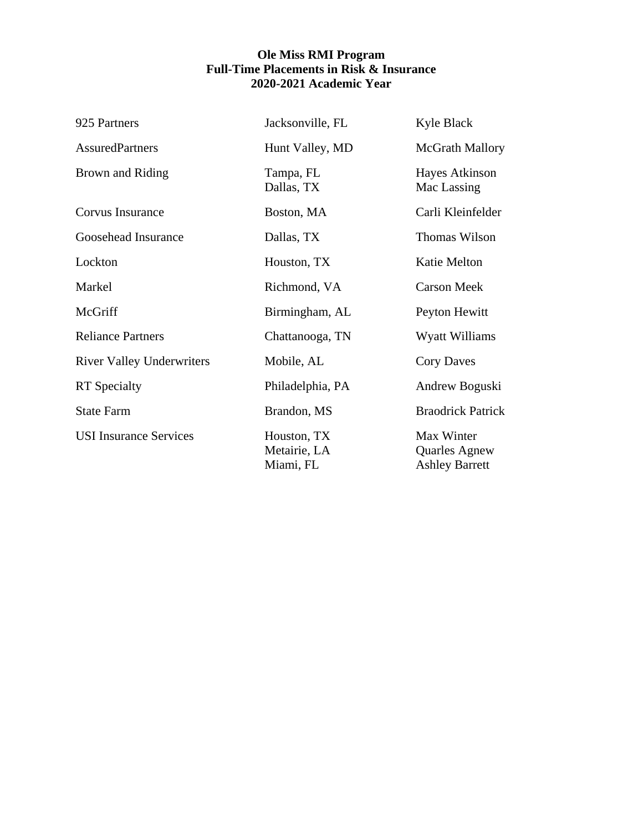## **Ole Miss RMI Program Full-Time Placements in Risk & Insurance 2020-2021 Academic Year**

| 925 Partners                     | Jacksonville, FL                         | Kyle Black                                                  |
|----------------------------------|------------------------------------------|-------------------------------------------------------------|
| <b>AssuredPartners</b>           | Hunt Valley, MD                          | <b>McGrath Mallory</b>                                      |
| Brown and Riding                 | Tampa, FL<br>Dallas, TX                  | <b>Hayes Atkinson</b><br>Mac Lassing                        |
| Corvus Insurance                 | Boston, MA                               | Carli Kleinfelder                                           |
| Goosehead Insurance              | Dallas, TX                               | Thomas Wilson                                               |
| Lockton                          | Houston, TX                              | Katie Melton                                                |
| Markel                           | Richmond, VA                             | <b>Carson Meek</b>                                          |
| McGriff                          | Birmingham, AL                           | Peyton Hewitt                                               |
| <b>Reliance Partners</b>         | Chattanooga, TN                          | Wyatt Williams                                              |
| <b>River Valley Underwriters</b> | Mobile, AL                               | <b>Cory Daves</b>                                           |
| <b>RT</b> Specialty              | Philadelphia, PA                         | Andrew Boguski                                              |
| <b>State Farm</b>                | Brandon, MS                              | <b>Braodrick Patrick</b>                                    |
| <b>USI Insurance Services</b>    | Houston, TX<br>Metairie, LA<br>Miami, FL | Max Winter<br><b>Quarles Agnew</b><br><b>Ashley Barrett</b> |